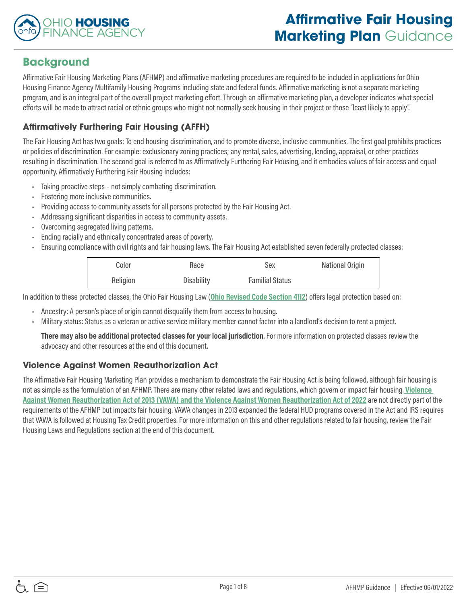

# **Background**

Affirmative Fair Housing Marketing Plans (AFHMP) and affirmative marketing procedures are required to be included in applications for Ohio Housing Finance Agency Multifamily Housing Programs including state and federal funds. Affirmative marketing is not a separate marketing program, and is an integral part of the overall project marketing effort. Through an affirmative marketing plan, a developer indicates what special efforts will be made to attract racial or ethnic groups who might not normally seek housing in their project or those "least likely to apply".

## **Affirmatively Furthering Fair Housing (AFFH)**

The Fair Housing Act has two goals: To end housing discrimination, and to promote diverse, inclusive communities. The first goal prohibits practices or policies of discrimination. For example: exclusionary zoning practices; any rental, sales, advertising, lending, appraisal, or other practices resulting in discrimination. The second goal is referred to as Affirmatively Furthering Fair Housing, and it embodies values of fair access and equal opportunity. Affirmatively Furthering Fair Housing includes:

- Taking proactive steps not simply combating discrimination.
- Fostering more inclusive communities.
- Providing access to community assets for all persons protected by the Fair Housing Act.
- Addressing significant disparities in access to community assets.
- Overcoming segregated living patterns.
- Ending racially and ethnically concentrated areas of poverty.
- Ensuring compliance with civil rights and fair housing laws. The Fair Housing Act established seven federally protected classes:

| Color    | Race       | Sex                    | National Origin |
|----------|------------|------------------------|-----------------|
| Religion | Disability | <b>Familial Status</b> |                 |

In addition to these protected classes, the Ohio Fair Housing Law (**[Ohio Revised Code Section 4112](http://codes.ohio.gov/orc/4112)**) offers legal protection based on:

- Ancestry: A person's place of origin cannot disqualify them from access to housing.
- Military status: Status as a veteran or active service military member cannot factor into a landlord's decision to rent a project.

**There may also be additional protected classes for your local jurisdiction**. For more information on protected classes review the advocacy and other resources at the end of this document.

## **Violence Against Women Reauthorization Act**

The Affirmative Fair Housing Marketing Plan provides a mechanism to demonstrate the Fair Housing Act is being followed, although fair housing is not as simple as the formulation of an AFHMP. There are many other related laws and regulations, which govern or impact fair housing. **[Violence](https://www.gpo.gov/fdsys/pkg/FR-2016-11-16/pdf/2016-25888.pdf)  [Against Women Reauthorization Act of 2013 \(VAWA\) and the Violence Against Women Reauthorization Act of 2022](https://www.gpo.gov/fdsys/pkg/FR-2016-11-16/pdf/2016-25888.pdf)** are not directly part of the requirements of the AFHMP but impacts fair housing. VAWA changes in 2013 expanded the federal HUD programs covered in the Act and IRS requires that VAWA is followed at Housing Tax Credit properties. For more information on this and other regulations related to fair housing, review the Fair Housing Laws and Regulations section at the end of this document.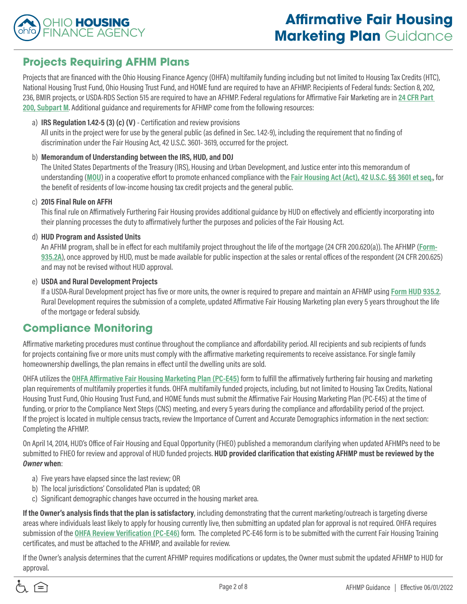

## **Projects Requiring AFHM Plans**

Projects that are financed with the Ohio Housing Finance Agency (OHFA) multifamily funding including but not limited to Housing Tax Credits (HTC), National Housing Trust Fund, Ohio Housing Trust Fund, and HOME fund are required to have an AFHMP. Recipients of Federal funds: Section 8, 202, 236, BMIR projects, or USDA-RDS Section 515 are required to have an AFHMP. Federal regulations for Affirmative Fair Marketing are in **[24 CFR Part](https://www.ecfr.gov/current/title-24/subtitle-B/chapter-II/subchapter-A/part-200/subpart-M)  [200, Subpart M](https://www.ecfr.gov/current/title-24/subtitle-B/chapter-II/subchapter-A/part-200/subpart-M)**. Additional guidance and requirements for AFHMP come from the following resources:

#### a) **IRS Regulation 1.42-5 (3) (c) (V)** - Certification and review provisions

All units in the project were for use by the general public (as defined in Sec. 1.42-9), including the requirement that no finding of discrimination under the Fair Housing Act, 42 U.S.C. 3601- 3619, occurred for the project.

#### b) **Memorandum of Understanding between the IRS, HUD, and DOJ**

The United States Departments of the Treasury (IRS), Housing and Urban Development, and Justice enter into this memorandum of understanding (**[MOU](http://www.justice.gov/crt/about/hce/mou.php)**) in a cooperative effort to promote enhanced compliance with the **[Fair Housing Act \(Act\), 42 U.S.C. §§ 3601 et seq.](https://www.ecfr.gov/current/title-24/subtitle-B/chapter-II/subchapter-A/part-200/subpart-M)**, for the benefit of residents of low-income housing tax credit projects and the general public.

#### c) **2015 Final Rule on AFFH**

This final rule on Affirmatively Furthering Fair Housing provides additional guidance by HUD on effectively and efficiently incorporating into their planning processes the duty to affirmatively further the purposes and policies of the Fair Housing Act.

#### d) **HUD Program and Assisted Units**

An AFHM program, shall be in effect for each multifamily project throughout the life of the mortgage (24 CFR 200.620(a)). The AFHMP (**[Form-](https://portal.hud.gov/hudportal/documents/huddoc?id=935-2a.pdf)[935.2A](https://portal.hud.gov/hudportal/documents/huddoc?id=935-2a.pdf)**), once approved by HUD, must be made available for public inspection at the sales or rental offices of the respondent (24 CFR 200.625) and may not be revised without HUD approval.

#### e) **USDA and Rural Development Projects**

If a USDA-Rural Development project has five or more units, the owner is required to prepare and maintain an AFHMP using **[Form HUD 935.2](https://portal.hud.gov/hudportal/documents/huddoc?id=935-2a.pdf)**. Rural Development requires the submission of a complete, updated Affirmative Fair Housing Marketing plan every 5 years throughout the life of the mortgage or federal subsidy.

# **Compliance Monitoring**

Affirmative marketing procedures must continue throughout the compliance and affordability period. All recipients and sub recipients of funds for projects containing five or more units must comply with the affirmative marketing requirements to receive assistance. For single family homeownership dwellings, the plan remains in effect until the dwelling units are sold.

OHFA utilizes the **[OHFA Affirmative Fair Housing Marketing Plan \(PC-E45\)](https://ohiohome.org/compliance/documents/PC-E45-AFHMP.pdf)** form to fulfill the affirmatively furthering fair housing and marketing plan requirements of multifamily properties it funds. OHFA multifamily funded projects, including, but not limited to Housing Tax Credits, National Housing Trust Fund, Ohio Housing Trust Fund, and HOME funds must submit the Affirmative Fair Housing Marketing Plan (PC-E45) at the time of funding, or prior to the Compliance Next Steps (CNS) meeting, and every 5 years during the compliance and affordability period of the project. If the project is located in multiple census tracts, review the Importance of Current and Accurate Demographics information in the next section: Completing the AFHMP.

On April 14, 2014, HUD's Office of Fair Housing and Equal Opportunity (FHEO) published a memorandum clarifying when updated AFHMPs need to be submitted to FHEO for review and approval of HUD funded projects. **HUD provided clarification that existing AFHMP must be reviewed by the**  *Owner* **when**:

- a) Five years have elapsed since the last review; OR
- b) The local jurisdictions' Consolidated Plan is updated; OR
- c) Significant demographic changes have occurred in the housing market area.

**If the Owner's analysis finds that the plan is satisfactory**, including demonstrating that the current marketing/outreach is targeting diverse areas where individuals least likely to apply for housing currently live, then submitting an updated plan for approval is not required. OHFA requires submission of the **[OHFA Review Verification \(PC-E46\)](https://ohiohome.org/compliance/documents/PC-E46-AFHMP-ReviewVerification.pdf)** form. The completed PC-E46 form is to be submitted with the current Fair Housing Training certificates, and must be attached to the AFHMP, and available for review.

If the Owner's analysis determines that the current AFHMP requires modifications or updates, the Owner must submit the updated AFHMP to HUD for approval.

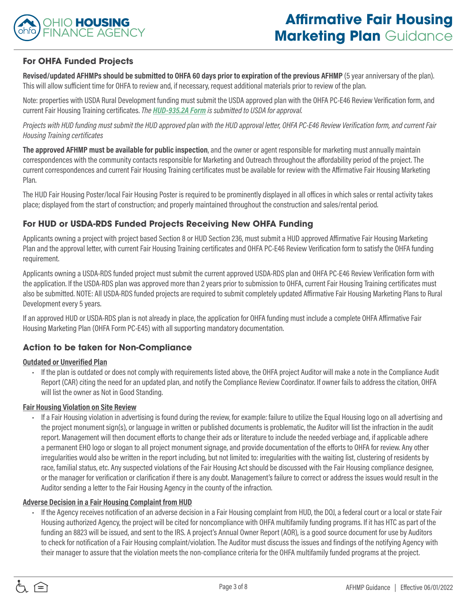

## **For OHFA Funded Projects**

**Revised/updated AFHMPs should be submitted to OHFA 60 days prior to expiration of the previous AFHMP** (5 year anniversary of the plan). This will allow sufficient time for OHFA to review and, if necessary, request additional materials prior to review of the plan.

Note: properties with USDA Rural Development funding must submit the USDA approved plan with the OHFA PC-E46 Review Verification form, and current Fair Housing Training certificates. *The [HUD-935.2A Form](http://portal.hud.gov/hudportal/documents/huddoc?id=935-2a.pdf) is submitted to USDA for approval.* 

*Projects with HUD funding must submit the HUD approved plan with the HUD approval letter, OHFA PC-E46 Review Verification form, and current Fair Housing Training certificates*

**The approved AFHMP must be available for public inspection**, and the owner or agent responsible for marketing must annually maintain correspondences with the community contacts responsible for Marketing and Outreach throughout the affordability period of the project. The current correspondences and current Fair Housing Training certificates must be available for review with the Affirmative Fair Housing Marketing Plan.

The HUD Fair Housing Poster/local Fair Housing Poster is required to be prominently displayed in all offices in which sales or rental activity takes place; displayed from the start of construction; and properly maintained throughout the construction and sales/rental period.

### **For HUD or USDA-RDS Funded Projects Receiving New OHFA Funding**

Applicants owning a project with project based Section 8 or HUD Section 236, must submit a HUD approved Affirmative Fair Housing Marketing Plan and the approval letter, with current Fair Housing Training certificates and OHFA PC-E46 Review Verification form to satisfy the OHFA funding requirement.

Applicants owning a USDA-RDS funded project must submit the current approved USDA-RDS plan and OHFA PC-E46 Review Verification form with the application. If the USDA-RDS plan was approved more than 2 years prior to submission to OHFA, current Fair Housing Training certificates must also be submitted. NOTE: All USDA-RDS funded projects are required to submit completely updated Affirmative Fair Housing Marketing Plans to Rural Development every 5 years.

If an approved HUD or USDA-RDS plan is not already in place, the application for OHFA funding must include a complete OHFA Affirmative Fair Housing Marketing Plan (OHFA Form PC-E45) with all supporting mandatory documentation.

## **Action to be taken for Non-Compliance**

#### **Outdated or Unverified Plan**

• If the plan is outdated or does not comply with requirements listed above, the OHFA project Auditor will make a note in the Compliance Audit Report (CAR) citing the need for an updated plan, and notify the Compliance Review Coordinator. If owner fails to address the citation, OHFA will list the owner as Not in Good Standing.

#### **Fair Housing Violation on Site Review**

• If a Fair Housing violation in advertising is found during the review, for example: failure to utilize the Equal Housing logo on all advertising and the project monument sign(s), or language in written or published documents is problematic, the Auditor will list the infraction in the audit report. Management will then document efforts to change their ads or literature to include the needed verbiage and, if applicable adhere a permanent EHO logo or slogan to all project monument signage, and provide documentation of the efforts to OHFA for review. Any other irregularities would also be written in the report including, but not limited to: irregularities with the waiting list, clustering of residents by race, familial status, etc. Any suspected violations of the Fair Housing Act should be discussed with the Fair Housing compliance designee, or the manager for verification or clarification if there is any doubt. Management's failure to correct or address the issues would result in the Auditor sending a letter to the Fair Housing Agency in the county of the infraction.

#### **Adverse Decision in a Fair Housing Complaint from HUD**

• If the Agency receives notification of an adverse decision in a Fair Housing complaint from HUD, the DOJ, a federal court or a local or state Fair Housing authorized Agency, the project will be cited for noncompliance with OHFA multifamily funding programs. If it has HTC as part of the funding an 8823 will be issued, and sent to the IRS. A project's Annual Owner Report (AOR), is a good source document for use by Auditors to check for notification of a Fair Housing complaint/violation. The Auditor must discuss the issues and findings of the notifying Agency with their manager to assure that the violation meets the non-compliance criteria for the OHFA multifamily funded programs at the project.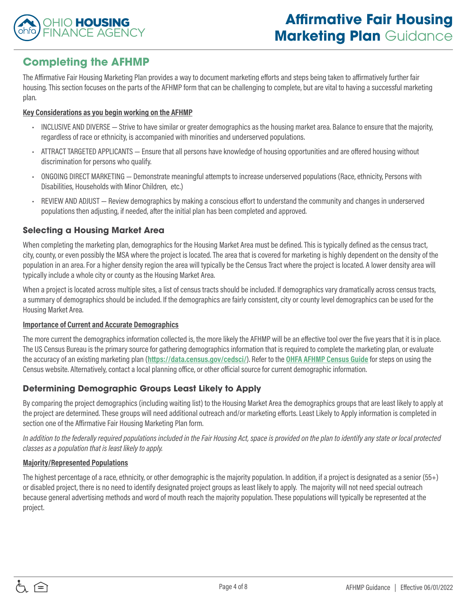

## **Completing the AFHMP**

The Affirmative Fair Housing Marketing Plan provides a way to document marketing efforts and steps being taken to affirmatively further fair housing. This section focuses on the parts of the AFHMP form that can be challenging to complete, but are vital to having a successful marketing plan.

#### **Key Considerations as you begin working on the AFHMP**

- INCLUSIVE AND DIVERSE Strive to have similar or greater demographics as the housing market area. Balance to ensure that the majority, regardless of race or ethnicity, is accompanied with minorities and underserved populations.
- ATTRACT TARGETED APPLICANTS Ensure that all persons have knowledge of housing opportunities and are offered housing without discrimination for persons who qualify.
- ONGOING DIRECT MARKETING Demonstrate meaningful attempts to increase underserved populations (Race, ethnicity, Persons with Disabilities, Households with Minor Children, etc.)
- REVIEW AND ADJUST Review demographics by making a conscious effort to understand the community and changes in underserved populations then adjusting, if needed, after the initial plan has been completed and approved.

## **Selecting a Housing Market Area**

When completing the marketing plan, demographics for the Housing Market Area must be defined. This is typically defined as the census tract, city, county, or even possibly the MSA where the project is located. The area that is covered for marketing is highly dependent on the density of the population in an area. For a higher density region the area will typically be the Census Tract where the project is located. A lower density area will typically include a whole city or county as the Housing Market Area.

When a project is located across multiple sites, a list of census tracts should be included. If demographics vary dramatically across census tracts, a summary of demographics should be included. If the demographics are fairly consistent, city or county level demographics can be used for the Housing Market Area.

#### **Importance of Current and Accurate Demographics**

The more current the demographics information collected is, the more likely the AFHMP will be an effective tool over the five years that it is in place. The US Census Bureau is the primary source for gathering demographics information that is required to complete the marketing plan, or evaluate the accuracy of an existing marketing plan (**<https://data.census.gov/cedsci/>**). Refer to the **[OHFA AFHMP Census Guide](https://ohiohome.org/compliance/documents/CensusDataGuide.pdf)** for steps on using the Census website. Alternatively, contact a local planning office, or other official source for current demographic information.

## **Determining Demographic Groups Least Likely to Apply**

By comparing the project demographics (including waiting list) to the Housing Market Area the demographics groups that are least likely to apply at the project are determined. These groups will need additional outreach and/or marketing efforts. Least Likely to Apply information is completed in section one of the Affirmative Fair Housing Marketing Plan form.

*In addition to the federally required populations included in the Fair Housing Act, space is provided on the plan to identify any state or local protected classes as a population that is least likely to apply.*

#### **Majority/Represented Populations**

The highest percentage of a race, ethnicity, or other demographic is the majority population. In addition, if a project is designated as a senior (55+) or disabled project, there is no need to identify designated project groups as least likely to apply. The majority will not need special outreach because general advertising methods and word of mouth reach the majority population. These populations will typically be represented at the project.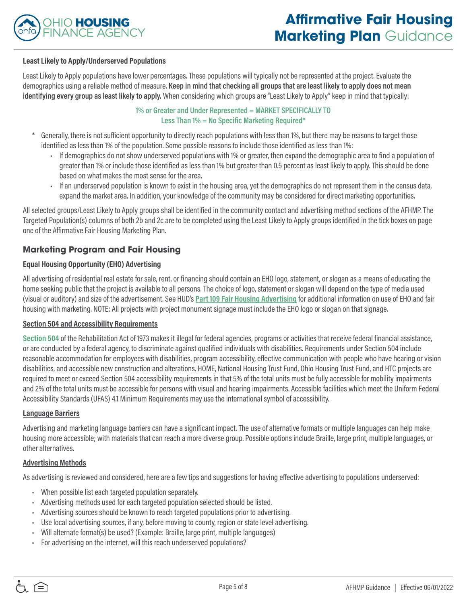

#### **Least Likely to Apply/Underserved Populations**

Least Likely to Apply populations have lower percentages. These populations will typically not be represented at the project. Evaluate the demographics using a reliable method of measure. **Keep in mind that checking all groups that are least likely to apply does not mean identifying every group as least likely to apply.** When considering which groups are "Least Likely to Apply" keep in mind that typically:

#### **1% or Greater and Under Represented = MARKET SPECIFICALLY TO Less Than 1% = No Specific Marketing Required\***

- Generally, there is not sufficient opportunity to directly reach populations with less than 1%, but there may be reasons to target those identified as less than 1% of the population. Some possible reasons to include those identified as less than 1%:
	- If demographics do not show underserved populations with 1% or greater, then expand the demographic area to find a population of greater than 1% or include those identified as less than 1% but greater than 0.5 percent as least likely to apply. This should be done based on what makes the most sense for the area.
	- If an underserved population is known to exist in the housing area, yet the demographics do not represent them in the census data, expand the market area. In addition, your knowledge of the community may be considered for direct marketing opportunities.

All selected groups/Least Likely to Apply groups shall be identified in the community contact and advertising method sections of the AFHMP. The Targeted Population(s) columns of both 2b and 2c are to be completed using the Least Likely to Apply groups identified in the tick boxes on page one of the Affirmative Fair Housing Marketing Plan.

#### **Marketing Program and Fair Housing**

#### **Equal Housing Opportunity (EHO) Advertising**

All advertising of residential real estate for sale, rent, or financing should contain an EHO logo, statement, or slogan as a means of educating the home seeking public that the project is available to all persons. The choice of logo, statement or slogan will depend on the type of media used (visual or auditory) and size of the advertisement. See HUD's **[Part 109 Fair Housing Advertising](https://www.hud.gov/sites/dfiles/FHEO/documents/BBE%20Part%20109%20Fair%20Housing%20Advertising.pdf)** for additional information on use of EHO and fair housing with marketing. NOTE: All projects with project monument signage must include the EHO logo or slogan on that signage.

#### **Section 504 and Accessibility Requirements**

**[Section 504](https://www.dol.gov/agencies/oasam/centers-offices/civil-rights-center/statutes/section-504-rehabilitation-act-of-1973)** of the Rehabilitation Act of 1973 makes it illegal for federal agencies, programs or activities that receive federal financial assistance, or are conducted by a federal agency, to discriminate against qualified individuals with disabilities. Requirements under Section 504 include reasonable accommodation for employees with disabilities, program accessibility, effective communication with people who have hearing or vision disabilities, and accessible new construction and alterations. HOME, National Housing Trust Fund, Ohio Housing Trust Fund, and HTC projects are required to meet or exceed Section 504 accessibility requirements in that 5% of the total units must be fully accessible for mobility impairments and 2% of the total units must be accessible for persons with visual and hearing impairments. Accessible facilities which meet the Uniform Federal Accessibility Standards (UFAS) 4.1 Minimum Requirements may use the international symbol of accessibility.

#### **Language Barriers**

Advertising and marketing language barriers can have a significant impact. The use of alternative formats or multiple languages can help make housing more accessible; with materials that can reach a more diverse group. Possible options include Braille, large print, multiple languages, or other alternatives.

#### **Advertising Methods**

As advertising is reviewed and considered, here are a few tips and suggestions for having effective advertising to populations underserved:

- When possible list each targeted population separately.
- Advertising methods used for each targeted population selected should be listed.
- Advertising sources should be known to reach targeted populations prior to advertising.
- Use local advertising sources, if any, before moving to county, region or state level advertising.
- Will alternate format(s) be used? (Example: Braille, large print, multiple languages)
- For advertising on the internet, will this reach underserved populations?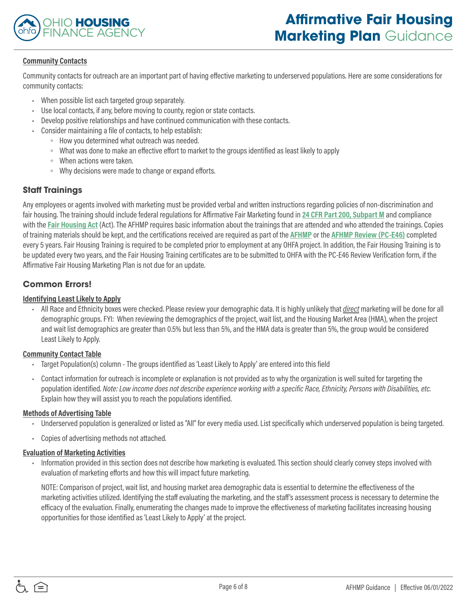

#### **Community Contacts**

Community contacts for outreach are an important part of having effective marketing to underserved populations. Here are some considerations for community contacts:

- When possible list each targeted group separately.
- Use local contacts, if any, before moving to county, region or state contacts.
- Develop positive relationships and have continued communication with these contacts.
- Consider maintaining a file of contacts, to help establish:
	- How you determined what outreach was needed.
	- What was done to make an effective effort to market to the groups identified as least likely to apply
	- When actions were taken.
	- Why decisions were made to change or expand efforts.

## **Staff Trainings**

Any employees or agents involved with marketing must be provided verbal and written instructions regarding policies of non-discrimination and fair housing. The training should include federal regulations for Affirmative Fair Marketing found in **[24 CFR Part 200, Subpart M](https://www.ecfr.gov/current/title-24/part-200/subpart-m)** and compliance with the **[Fair Housing Act](http://www.justice.gov/crt/about/hce/title8.php)** (Act). The AFHMP requires basic information about the trainings that are attended and who attended the trainings. Copies of training materials should be kept, and the certifications received are required as part of the **[AFHMP](https://ohiohome.org/compliance/documents/PC-E45-AFHMP.pdf)** or the **[AFHMP Review \(PC-E46\)](https://ohiohome.org/compliance/documents/PC-E46-AFHMP-ReviewVerification.pdf)** completed every 5 years. Fair Housing Training is required to be completed prior to employment at any OHFA project. In addition, the Fair Housing Training is to be updated every two years, and the Fair Housing Training certificates are to be submitted to OHFA with the PC-E46 Review Verification form, if the Affirmative Fair Housing Marketing Plan is not due for an update.

## **Common Errors!**

#### **Identifying Least Likely to Apply**

• All Race and Ethnicity boxes were checked. Please review your demographic data. It is highly unlikely that *direct* marketing will be done for all demographic groups. FYI: When reviewing the demographics of the project, wait list, and the Housing Market Area (HMA), when the project and wait list demographics are greater than 0.5% but less than 5%, and the HMA data is greater than 5%, the group would be considered Least Likely to Apply.

#### **Community Contact Table**

- Target Population(s) column The groups identified as 'Least Likely to Apply' are entered into this field
- Contact information for outreach is incomplete or explanation is not provided as to why the organization is well suited for targeting the population identified. *Note: Low income does not describe experience working with a specific Race, Ethnicity, Persons with Disabilities, etc.*  Explain how they will assist you to reach the populations identified.

#### **Methods of Advertising Table**

- Underserved population is generalized or listed as "All" for every media used. List specifically which underserved population is being targeted.
- Copies of advertising methods not attached.

#### **Evaluation of Marketing Activities**

• Information provided in this section does not describe how marketing is evaluated. This section should clearly convey steps involved with evaluation of marketing efforts and how this will impact future marketing.

NOTE: Comparison of project, wait list, and housing market area demographic data is essential to determine the effectiveness of the marketing activities utilized. Identifying the staff evaluating the marketing, and the staff's assessment process is necessary to determine the efficacy of the evaluation. Finally, enumerating the changes made to improve the effectiveness of marketing facilitates increasing housing opportunities for those identified as 'Least Likely to Apply' at the project.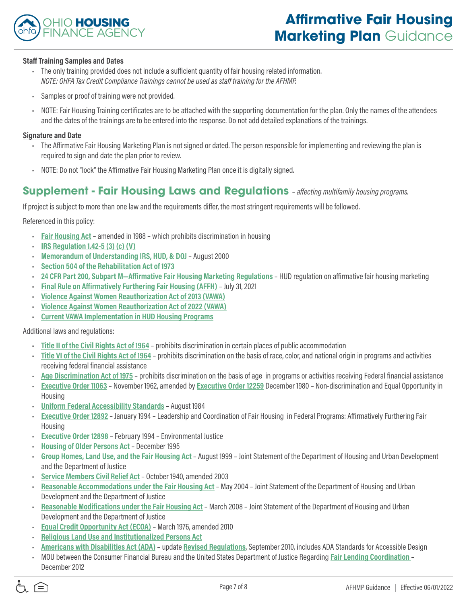

#### **Staff Training Samples and Dates**

- The only training provided does not include a sufficient quantity of fair housing related information. *NOTE: OHFA Tax Credit Compliance Trainings cannot be used as staff training for the AFHMP.*
- Samples or proof of training were not provided.
- NOTE: Fair Housing Training certificates are to be attached with the supporting documentation for the plan. Only the names of the attendees and the dates of the trainings are to be entered into the response. Do not add detailed explanations of the trainings.

#### **Signature and Date**

- The Affirmative Fair Housing Marketing Plan is not signed or dated. The person responsible for implementing and reviewing the plan is required to sign and date the plan prior to review.
- NOTE: Do not "lock" the Affirmative Fair Housing Marketing Plan once it is digitally signed.

## **Supplement - Fair Housing Laws and Regulations** *– affecting multifamily housing programs.*

If project is subject to more than one law and the requirements differ, the most stringent requirements will be followed.

Referenced in this policy:

- **[Fair Housing Act](https://www.justice.gov/crt/fair-housing-act-1)** amended in 1988 which prohibits discrimination in housing
- **[IRS Regulation 1.42-5 \(3\) \(c\) \(V\)](https://www.federalregister.gov/documents/2019/02/26/2019-03388/amendments-to-the-low-income-housing-credit-compliance-monitoring-regulations)**
- **[Memorandum of Understanding IRS, HUD, & DOJ](https://www.justice.gov/crt/memorandum-understanding-among-department-treasury-department-housing-and-urban-development-an-0)** August 2000
- **[Section 504 of the Rehabilitation Act of 1973](https://www.dol.gov/agencies/oasam/centers-offices/civil-rights-center/statutes/section-504-rehabilitation-act-of-1973)**
- **[24 CFR Part 200, Subpart M—Affirmative Fair Housing Marketing Regulations](https://www.law.cornell.edu/cfr/text/24/part-200/subpart-M)** HUD regulation on affirmative fair housing marketing
- **[Final Rule on Affirmatively Furthering Fair Housing \(AFFH\)](https://www.hudexchange.info/programs/fair-housing-planning/)** July 31, 2021
- **[Violence Against Women Reauthorization Act of 2013 \(VAWA\)](https://www.justice.gov/opa/pr/justice-department-applauds-reauthorization-violence-against-women-act#:~:text=VAWA%20was%20reauthorized%20as%20part,%2C%E2%80%9D%20said%20Attorney%20General%20Garland.)**
- **[Violence Against Women Reauthorization Act of 2022 \(VAWA\)](https://www.govinfo.gov/app/search/%7B%22query%22%3A%22vawa%22%2C%22offset%22%3A0%7D)**
- **[Current VAWA Implementation in HUD Housing Programs](https://www.govinfo.gov/app/search/%7B%22query%22%3A%22vawa%22%2C%22offset%22%3A0%7D)**

Additional laws and regulations:

- **[Title II of the Civil Rights Act of 1964](https://search.justice.gov/search?query=Civil+Rights+Act+of+1964&op=Search&affiliate=justice)** prohibits discrimination in certain places of public accommodation
- **[Title VI of the Civil Rights Act of 1964](https://www.hhs.gov/civil-rights/for-individuals/special-topics/needy-families/civil-rights-requirements/index.html#:~:text=Rights%20Requirements%2D%20A.-,Title%20VI%20of%20the%20Civil%20Rights%20Act%20of%201964%2C%2042,or%20other%20Federal%20financial%20assistance.)** prohibits discrimination on the basis of race, color, and national origin in programs and activities receiving federal financial assistance
- **[Age Discrimination Act of 1975](https://www.dol.gov/general/topic/discrimination/agedisc#:~:text=The%20Age%20Discrimination%20Act%20of,that%20meet%20the%20Act)** prohibits discrimination on the basis of age in programs or activities receiving Federal financial assistance
- **[Executive Order 11063](https://www.dol.gov/general/topic/discrimination/agedisc#:~:text=The%20Age%20Discrimination%20Act%20of,that%20meet%20the%20Act)** November 1962, amended by **[Executive Order 12259](https://www.dol.gov/general/topic/discrimination/agedisc#:~:text=The%20Age%20Discrimination%20Act%20of,that%20meet%20the%20Act)** December 1980 Non-discrimination and Equal Opportunity in Housing
- **[Uniform Federal Accessibility Standards](https://www.access-board.gov/aba/ufas.html)** August 1984
- **[Executive Order 12892](https://www.govinfo.gov/link/cpd/executiveorder/12892)** January 1994 Leadership and Coordination of Fair Housing in Federal Programs: Affirmatively Furthering Fair Housing
- **[Executive Order 12898](https://www.archives.gov/files/federal-register/executive-orders/pdf/12898.pdf)** February 1994 Environmental Justice
- **[Housing of Older Persons Act](https://www.hud.gov/program_offices/fair_housing_equal_opp/fair_housing_act_housing_older_persons)** December 1995
- **[Group Homes, Land Use, and the Fair Housing Act](https://nlihc.org/resource/hud-and-doj-update-fair-housing-act-guidance-about-land-use-laws)** August 1999 Joint Statement of the Department of Housing and Urban Development and the Department of Justice
- **[Service Members Civil Relief Act](https://www.justice.gov/servicemembers/servicemembers-civil-relief-act-scra)** October 1940, amended 2003
- **[Reasonable Accommodations under the Fair Housing Act](https://www.hud.gov/program_offices/fair_housing_equal_opp/reasonable_accommodations_and_modifications)** May 2004 Joint Statement of the Department of Housing and Urban Development and the Department of Justice
- **[Reasonable Modifications under the Fair Housing Act](https://www.hud.gov/program_offices/fair_housing_equal_opp/reasonable_accommodations_and_modifications)** March 2008 Joint Statement of the Department of Housing and Urban Development and the Department of Justice
- **[Equal Credit Opportunity Act \(ECOA\)](https://www.ftc.gov/legal-library/browse/statutes/equal-credit-opportunity-act)** March 1976, amended 2010
- **[Religious Land Use and Institutionalized Persons Act](https://www.justice.gov/crt/religious-land-use-and-institutionalized-persons-act)**
- **[Americans with Disabilities Act \(ADA\)](https://beta.ada.gov/)** update **[Revised Regulations](https://beta.ada.gov/search/?utf8=%E2%9C%93&affiliate=justice-ada-beta&query=ADA+revised+regulations+)**, September 2010, includes ADA Standards for Accessible Design
- MOU between the Consumer Financial Bureau and the United States Department of Justice Regarding **[Fair Lending Coordination](https://www.consumerfinance.gov/about-us/newsroom/consumer-financial-protection-bureau-and-justice-department-pledge-to-work-together-to-protect-consumers-from-credit-discrimination/?_gl=1*19tun7n*_ga*MTI3MjE1MzQ2OC4xNjQ4NzQ0ODUy*_ga_DBYJL30CHS*MTY0ODc0NDg1MS4xLjEuMTY0ODc0NDk4MS4w)**  December 2012